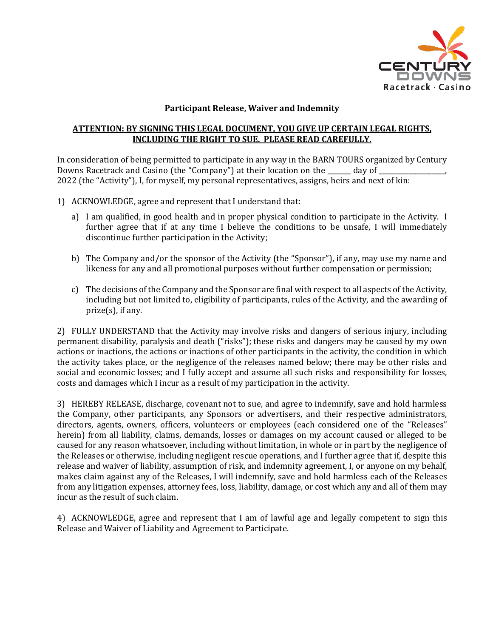

## **Participant Release, Waiver and Indemnity**

## **ATTENTION: BY SIGNING THIS LEGAL DOCUMENT, YOU GIVE UP CERTAIN LEGAL RIGHTS, INCLUDING THE RIGHT TO SUE. PLEASE READ CAREFULLY.**

In consideration of being permitted to participate in any way in the BARN TOURS organized by Century Downs Racetrack and Casino (the "Company") at their location on the \_\_\_\_\_\_\_ day of \_ 2022 (the "Activity"), I, for myself, my personal representatives, assigns, heirs and next of kin:

- 1) ACKNOWLEDGE, agree and represent that I understand that:
	- a) I am qualified, in good health and in proper physical condition to participate in the Activity. I further agree that if at any time I believe the conditions to be unsafe, I will immediately discontinue further participation in the Activity;
	- b) The Company and/or the sponsor of the Activity (the "Sponsor"), if any, may use my name and likeness for any and all promotional purposes without further compensation or permission;
	- c) The decisions of the Company and the Sponsor are final with respect to all aspects of the Activity, including but not limited to, eligibility of participants, rules of the Activity, and the awarding of prize(s), if any.

2) FULLY UNDERSTAND that the Activity may involve risks and dangers of serious injury, including permanent disability, paralysis and death ("risks"); these risks and dangers may be caused by my own actions or inactions, the actions or inactions of other participants in the activity, the condition in which the activity takes place, or the negligence of the releases named below; there may be other risks and social and economic losses; and I fully accept and assume all such risks and responsibility for losses, costs and damages which I incur as a result of my participation in the activity.

3) HEREBY RELEASE, discharge, covenant not to sue, and agree to indemnify, save and hold harmless the Company, other participants, any Sponsors or advertisers, and their respective administrators, directors, agents, owners, officers, volunteers or employees (each considered one of the "Releases" herein) from all liability, claims, demands, losses or damages on my account caused or alleged to be caused for any reason whatsoever, including without limitation, in whole or in part by the negligence of the Releases or otherwise, including negligent rescue operations, and I further agree that if, despite this release and waiver of liability, assumption of risk, and indemnity agreement, I, or anyone on my behalf, makes claim against any of the Releases, I will indemnify, save and hold harmless each of the Releases from any litigation expenses, attorney fees, loss, liability, damage, or cost which any and all of them may incur as the result of such claim.

4) ACKNOWLEDGE, agree and represent that I am of lawful age and legally competent to sign this Release and Waiver of Liability and Agreement to Participate.